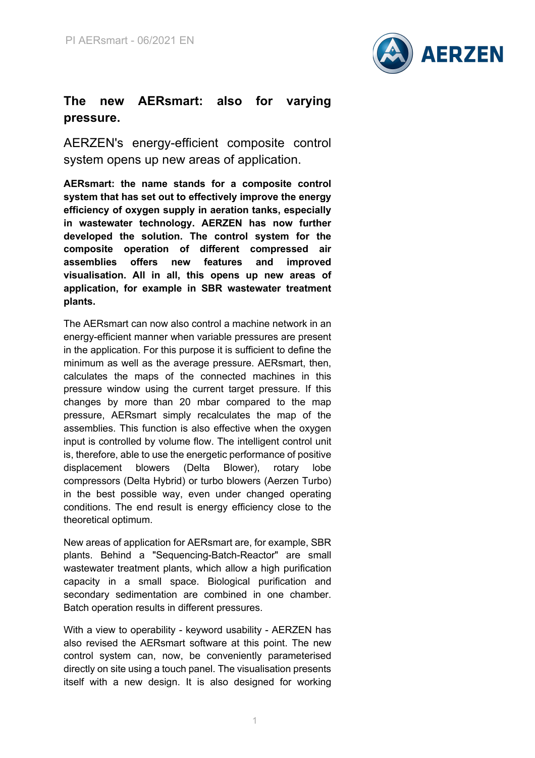

## **The new AERsmart: also for varying pressure.**

AERZEN's energy-efficient composite control system opens up new areas of application.

**AERsmart: the name stands for a composite control system that has set out to effectively improve the energy efficiency of oxygen supply in aeration tanks, especially in wastewater technology. AERZEN has now further developed the solution. The control system for the composite operation of different compressed air assemblies offers new features and improved visualisation. All in all, this opens up new areas of application, for example in SBR wastewater treatment plants.**

The AERsmart can now also control a machine network in an energy-efficient manner when variable pressures are present in the application. For this purpose it is sufficient to define the minimum as well as the average pressure. AERsmart, then, calculates the maps of the connected machines in this pressure window using the current target pressure. If this changes by more than 20 mbar compared to the map pressure, AERsmart simply recalculates the map of the assemblies. This function is also effective when the oxygen input is controlled by volume flow. The intelligent control unit is, therefore, able to use the energetic performance of positive displacement blowers (Delta Blower), rotary lobe compressors (Delta Hybrid) or turbo blowers (Aerzen Turbo) in the best possible way, even under changed operating conditions. The end result is energy efficiency close to the theoretical optimum.

New areas of application for AERsmart are, for example, SBR plants. Behind a "Sequencing-Batch-Reactor" are small wastewater treatment plants, which allow a high purification capacity in a small space. Biological purification and secondary sedimentation are combined in one chamber. Batch operation results in different pressures.

With a view to operability - keyword usability - AERZEN has also revised the AERsmart software at this point. The new control system can, now, be conveniently parameterised directly on site using a touch panel. The visualisation presents itself with a new design. It is also designed for working